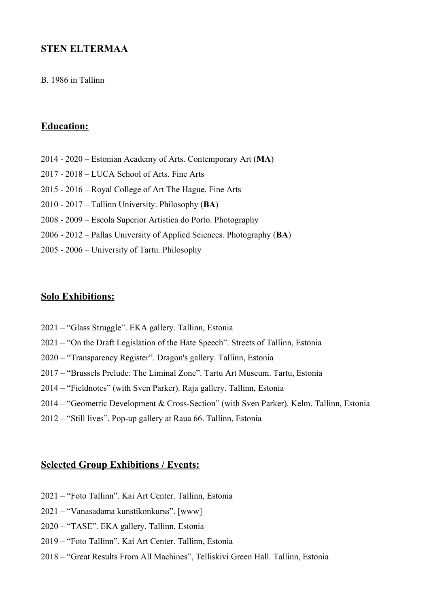## **STEN ELTERMAA**

#### B. 1986 in Tallinn

# **Education:**

- 2014 2020 Estonian Academy of Arts. Contemporary Art (**MA**)
- 2017 2018 LUCA School of Arts. Fine Arts
- 2015 2016 Royal College of Art The Hague. Fine Arts
- 2010 2017 Tallinn University. Philosophy (**BA**)
- 2008 2009 Escola Superior Artistica do Porto. Photography
- 2006 2012 Pallas University of Applied Sciences. Photography (**BA**)
- 2005 2006 University of Tartu. Philosophy

### **Solo Exhibitions:**

- 2021 "Glass Struggle". EKA gallery. Tallinn, Estonia
- 2021 "On the Draft Legislation of the Hate Speech". Streets of Tallinn, Estonia
- 2020 "Transparency Register". Dragon's gallery. Tallinn, Estonia
- 2017 "Brussels Prelude: The Liminal Zone". Tartu Art Museum. Tartu, Estonia
- 2014 "Fieldnotes" (with Sven Parker). Raja gallery. Tallinn, Estonia
- 2014 "Geometric Development & Cross-Section" (with Sven Parker). Kelm. Tallinn, Estonia
- 2012 "Still lives". Pop-up gallery at Raua 66. Tallinn, Estonia

#### **Selected Group Exhibitions / Events:**

- 2021 "Foto Tallinn". Kai Art Center. Tallinn, Estonia
- 2021 "Vanasadama kunstikonkurss". [www]
- 2020 "TASE". EKA gallery. Tallinn, Estonia
- 2019 "Foto Tallinn". Kai Art Center. Tallinn, Estonia
- 2018 "Great Results From All Machines", Telliskivi Green Hall. Tallinn, Estonia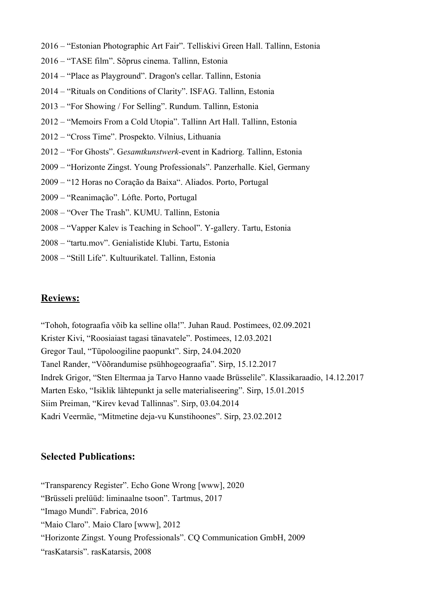- 2016 "Estonian Photographic Art Fair". Telliskivi Green Hall. Tallinn, Estonia
- 2016 "TASE film". Sõprus cinema. Tallinn, Estonia
- 2014 "Place as Playground". Dragon's cellar. Tallinn, Estonia
- 2014 "Rituals on Conditions of Clarity". ISFAG. Tallinn, Estonia
- 2013 "For Showing / For Selling". Rundum. Tallinn, Estonia
- 2012 "Memoirs From a Cold Utopia". Tallinn Art Hall. Tallinn, Estonia
- 2012 "Cross Time". Prospekto. Vilnius, Lithuania
- 2012 "For Ghosts". G*esamtkunstwerk-*event in Kadriorg. Tallinn, Estonia
- 2009 "Horizonte Zingst. Young Professionals". Panzerhalle. Kiel, Germany
- 2009 "12 Horas no Coração da Baixa". Aliados. Porto, Portugal
- 2009 "Reanimação". Lófte. Porto, Portugal
- 2008 "Over The Trash". KUMU. Tallinn, Estonia
- 2008 "Vapper Kalev is Teaching in School". Y-gallery. Tartu, Estonia
- 2008 "tartu.mov". Genialistide Klubi. Tartu, Estonia
- 2008 "Still Life". Kultuurikatel. Tallinn, Estonia

### **Reviews:**

"Tohoh, fotograafia võib ka selline olla!". Juhan Raud. Postimees, 02.09.2021 Krister Kivi, "Roosiaiast tagasi tänavatele". Postimees, 12.03.2021 Gregor Taul, "Tüpoloogiline paopunkt". Sirp, 24.04.2020 Tanel Rander, "Võõrandumise psühhogeograafia". Sirp, 15.12.2017 Indrek Grigor, "Sten Eltermaa ja Tarvo Hanno vaade Brüsselile". Klassikaraadio, 14.12.2017 Marten Esko, "Isiklik lähtepunkt ja selle materialiseering". Sirp, 15.01.2015 Siim Preiman, "Kirev kevad Tallinnas". Sirp, 03.04.2014 Kadri Veermäe, "Mitmetine deja-vu Kunstihoones". Sirp, 23.02.2012

#### **Selected Publications:**

- "Transparency Register". Echo Gone Wrong [www], 2020
- "Brüsseli prelüüd: liminaalne tsoon". Tartmus, 2017
- "Imago Mundi". Fabrica, 2016
- "Maio Claro". Maio Claro [www], 2012
- "Horizonte Zingst. Young Professionals". CQ Communication GmbH, 2009
- "rasKatarsis". rasKatarsis, 2008